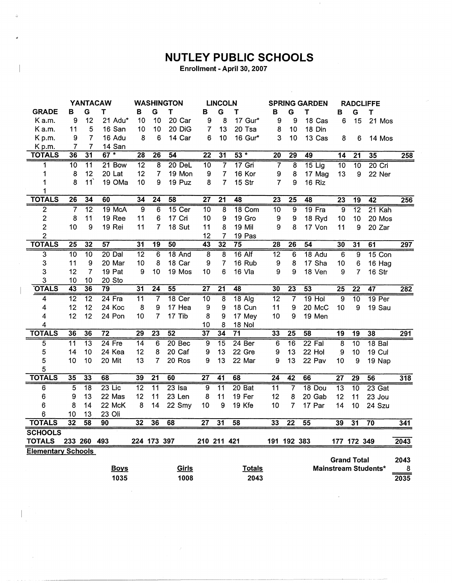## **NUTLEY PUBLIC SCHOOLS**

 $\sim 10$ 

Enrollment - April 30, 2007

|                           | <b>YANTACAW</b>         |                 |                 | <b>WASHINGTON</b> |                 | <b>LINCOLN</b>    |                 |                 | <b>SPRING GARDEN</b> |                 | <b>RADCLIFFE</b>        |                 |                    |                 |                      |                  |
|---------------------------|-------------------------|-----------------|-----------------|-------------------|-----------------|-------------------|-----------------|-----------------|----------------------|-----------------|-------------------------|-----------------|--------------------|-----------------|----------------------|------------------|
| <b>GRADE</b>              | В                       | G               | т               | в                 | G               | T                 | в               | G               | Т                    | в               | G                       | т               | в                  | G               | Τ                    |                  |
| K a.m.                    | 9                       | 12              | 21 Adu*         | 10                | 10              | 20 Car            | 9               | 8               | 17 Gur*              | 9               | 9                       | 18 Cas          | 6                  | 15              | 21 Mos               |                  |
| K a.m.                    | 11                      | 5               | 16 San          | 10                | 10              | 20 DiG            | 7               | 13              | 20 Tsa               | 8               | 10                      | 18 Din          |                    |                 |                      |                  |
| Kp.m.                     | 9                       | $\overline{7}$  | 16 Adu          | 8                 | 6               | 14 Car            | 6               | 10              | 16 Gur*              | 3               | 10                      | 13 Cas          | 8                  | 6               | 14 Mos               |                  |
| Kp.m.                     | 7                       | 7               | 14 San          |                   |                 |                   |                 |                 |                      |                 |                         |                 |                    |                 |                      |                  |
| <b>TOTALS</b>             | 36                      | $\overline{31}$ | 67 *            | 28                | $\overline{26}$ | $\overline{54}$   | $\overline{22}$ | 31              | $53 *$               | $\overline{20}$ | 29                      | 49              | 14                 | $\overline{21}$ | 35                   | 258              |
| 1                         | 10                      | $\overline{11}$ | 21 Bow          | $\overline{12}$   | 8               | $20$ DeL          | $\overline{10}$ | $\overline{7}$  | $17$ Gri             | 7               | $\overline{\mathbf{8}}$ | $15$ Lig        | $\overline{10}$    | $\overline{10}$ | $20$ Cri             |                  |
| 1                         | 8                       | 12              | 20 Lat          | 12                | $\overline{7}$  | 19 Mon            | 9               | $\overline{7}$  | 16 Kor               | 9               | 8                       | 17 Mag          | 13                 | 9               | 22 Ner               |                  |
| 1                         | 8                       | 11              | 19 OMa          | 10                | 9               | 19 Puz            | 8               | $\overline{7}$  | 15 Str               | 7               | 9                       | 16 Riz          |                    |                 |                      |                  |
| 1                         |                         |                 |                 |                   |                 |                   |                 |                 |                      |                 |                         |                 |                    |                 |                      |                  |
| <b>TOTALS</b>             | 26                      | 34              | 60              | 34                | 24              | 58                | $\overline{27}$ | $\overline{21}$ | 48                   | 23              | $\overline{25}$         | 48              | 23                 | $\overline{19}$ | 42                   | 256              |
| $\overline{c}$            | $\overline{\mathbf{7}}$ | $\overline{12}$ | 19 McA          | $\overline{9}$    | $\overline{6}$  | 15 Cer            | $\overline{10}$ | 8               | 18 Com               | $\overline{10}$ | $\overline{9}$          | $19$ Fra        | $\overline{9}$     | $\overline{12}$ | 21 Kah               |                  |
| $\overline{c}$            | 8                       | 11              | 19 Ree          | 11                | 6               | 17 Cri            | 10              | 9               | 19 Gro               | 9               | 9                       | 18 Ryd          | 10                 | 10              | 20 Mos               |                  |
| 2                         | 10                      | 9               | 19 Rei          | 11                | 7               | 18 Sut            | 11              | 8               | 19 Mil               | 9               | 8                       | 17 Von          | 11                 | 9               | 20 Zar               |                  |
| $\overline{c}$            |                         |                 |                 |                   |                 |                   | 12              | $\overline{7}$  | 19 Pas               |                 |                         |                 |                    |                 |                      |                  |
| <b>TOTALS</b>             | $\overline{25}$         | $\overline{32}$ | 57              | $\overline{31}$   | $\overline{19}$ | 50                | 43              | 32              | $\overline{75}$      | 28              | 26                      | 54              | 30                 | $\overline{31}$ | 61                   | 297              |
| 3                         | $\overline{10}$         | $\overline{10}$ | $20$ Dal        | $\overline{12}$   | $\overline{6}$  | $18$ And          | $\overline{8}$  | $\overline{8}$  | $16$ Alf             | $\overline{12}$ | $\overline{6}$          | 18 Adu          | $\overline{6}$     | $\overline{9}$  | $15$ Con             |                  |
| 3                         | 11                      | 9               | 20 Mar          | 10                | 8               | 18 Car            | 9               | 7               | 16 Rub               | 9               | 8                       | 17 Sha          | 10                 | 6               | 16 Hag               |                  |
| 3                         | 12                      | $\overline{7}$  | 19 Pat          | 9                 | 10              | 19 Mos            | 10              | 6               | 16 Vla               | 9               | 9                       | 18 Ven          | 9                  | $\overline{7}$  | 16 Str               |                  |
| 3                         | 10                      | 10              | 20 Sto          |                   |                 |                   |                 |                 |                      |                 |                         |                 |                    |                 |                      |                  |
| <b>OTALS</b>              | $\overline{43}$         | 36              | 79              | 31                | $\overline{24}$ | 55                | 27              | $\overline{21}$ | 48                   | 30              | $\overline{23}$         | $\overline{53}$ | $\overline{25}$    | $\overline{22}$ | $\overline{47}$      | $\overline{282}$ |
| 4                         | $\overline{12}$         | $\overline{12}$ | $24$ Fra        | 11                | 7               | 18 Cer            | $\overline{10}$ | $\overline{8}$  | $18$ Alg             | $\overline{12}$ | 7                       | $19$ Hol        | $\overline{9}$     | $\overline{10}$ | 19 Per               |                  |
| 4                         | 12                      | 12              | 24 Koc          | 8                 | 9               | 17 Hea            | 9               | 9               | 18 Cun               | 11              | 9                       | 20 McC          | 10                 | 9               | 19 Sau               |                  |
| 4                         | 12                      | 12              | 24 Pon          | 10                | $\overline{7}$  | 17 Tib            | 8               | 9               | 17 Mey               | 10              | 9                       | 19 Men          |                    |                 |                      |                  |
| 4                         |                         |                 |                 |                   |                 |                   | 10              | 8               | 18 Nol               |                 |                         |                 |                    |                 |                      |                  |
| <b>TOTALS</b>             | 36                      | 36              | $\overline{72}$ | 29                | 23              | 52                | 37              | 34              | $\overline{71}$      | 33              | $\overline{25}$         | 58              | 19                 | $\overline{19}$ | 38                   | 291              |
| 5                         | $\overline{11}$         | $\overline{13}$ | $24$ Fre        | $\overline{14}$   | $\overline{6}$  | 20 <sub>Bec</sub> | $\overline{9}$  | $\overline{15}$ | 24 Ber               | 6               | $\overline{16}$         | 22 Fal          | $\overline{8}$     | 10              | 18 <sub>Bal</sub>    |                  |
| 5                         | 14                      | 10              | 24 Kea          | 12                | 8               | 20 Caf            | 9               | 13              | 22 Gre               | 9               | 13                      | 22 Hol          | 9                  | 10              | 19 Cul               |                  |
| 5                         | 10                      | 10              | 20 Mit          | 13                | 7               | 20 Ros            | 9               | 13              | 22 Mar               | 9               | 13                      | 22 Pav          | 10                 | 9               | 19 Nap               |                  |
| 5                         |                         |                 |                 |                   |                 |                   |                 |                 |                      |                 |                         |                 |                    |                 |                      |                  |
| <b>TOTALS</b>             | 35                      | 33              | 68              | 39                | $\overline{21}$ | 60                | $\overline{27}$ | 41              | 68                   | $\overline{24}$ | $\overline{42}$         | 66              | $\overline{27}$    | $\overline{29}$ | 56                   | 318              |
| 6                         | $\overline{5}$          | $\overline{18}$ | $23$ Lic        | $\overline{12}$   | $\overline{11}$ | $23$ Isa          | $\overline{9}$  | $\overline{11}$ | 20Bat                | $\overline{11}$ | 7                       | 18 Dou          | $\overline{13}$    | $\overline{10}$ | 23 Gat               |                  |
| 6                         | 9                       | 13              | 22 Mas          | 12                | 11              | 23 Len            | 8               | 11              | 19 Fer               | 12              | 8                       | 20 Gab          | 12                 | 11              | 23 Jou               |                  |
| 6                         | 8                       | 14              | 22 McK          | 8                 | 14              | 22 Smy            | 10              | 9               | 19 Kfe               | 10              | 7                       | 17 Par          | 14                 | 10              | 24 Szu               |                  |
| 6                         | 10                      | 13              | 23 Oli          |                   |                 |                   |                 |                 |                      |                 |                         |                 |                    |                 |                      |                  |
| <b>TOTALS</b>             | 32                      | $\overline{58}$ | 90              | 32                | 36              | 68                | $\overline{27}$ | $\overline{31}$ | 58                   | 33              | 22                      | 55              | 39                 | $\overline{31}$ | 70                   | 341              |
| <b>SCHOOLS</b>            |                         |                 |                 |                   |                 |                   |                 |                 |                      |                 |                         |                 |                    |                 |                      |                  |
| <b>TOTALS</b>             |                         | 233 260 493     |                 |                   | 224 173 397     |                   | 210 211 421     |                 |                      |                 | 191 192 383             |                 |                    | 177 172 349     |                      | 2043             |
| <b>Elementary Schools</b> |                         |                 |                 |                   |                 |                   |                 |                 |                      |                 |                         |                 |                    |                 |                      |                  |
|                           |                         |                 |                 |                   |                 |                   |                 |                 |                      |                 |                         |                 | <b>Grand Total</b> |                 |                      | 2043             |
|                           |                         |                 | <b>Boys</b>     |                   |                 | Girls             |                 |                 | <b>Totals</b>        |                 |                         |                 |                    |                 | Mainstream Students* | 8                |
|                           |                         |                 | 1035            |                   |                 | 1008              |                 |                 | 2043                 |                 |                         |                 |                    |                 |                      | 2035             |